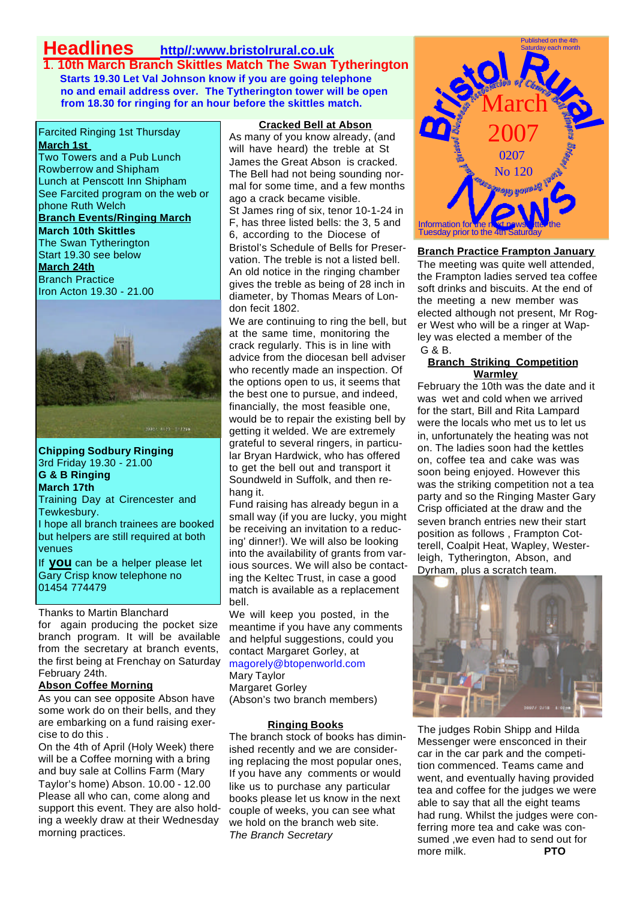# **Headlines http//:www.bristolrural.co.uk**

**1**. **10th March Branch Skittles Match The Swan Tytherington Starts 19.30 Let Val Johnson know if you are going telephone no and email address over. The Tytherington tower will be open from 18.30 for ringing for an hour before the skittles match.**

#### Farcited Ringing 1st Thursday **March 1st**

֦

Two Towers and a Pub Lunch Rowberrow and Shipham Lunch at Penscott Inn Shipham See Farcited program on the web or phone Ruth Welch

#### **Branch Events/Ringing March**

**March 10th Skittles** The Swan Tytherington Start 19.30 see below **March 24th** Branch Practice Iron Acton 19.30 - 21.00



**Chipping Sodbury Ringing** 3rd Friday 19.30 - 21.00 **G & B Ringing March 17th** Training Day at Cirencester and Tewkesbury. I hope all branch trainees are booked but helpers are still required at both venues If **you** can be a helper please let Gary Crisp know telephone no

# 01454 774479

#### Thanks to Martin Blanchard

for again producing the pocket size branch program. It will be available from the secretary at branch events, the first being at Frenchay on Saturday February 24th.

# **Abson Coffee Morning**

As you can see opposite Abson have some work do on their bells, and they are embarking on a fund raising exercise to do this .

On the 4th of April (Holy Week) there will be a Coffee morning with a bring and buy sale at Collins Farm (Mary Taylor's home) Abson. 10.00 - 12.00 Please all who can, come along and support this event. They are also holding a weekly draw at their Wednesday morning practices.

#### **Cracked Bell at Abson**

As many of you know already, (and will have heard) the treble at St James the Great Abson is cracked. The Bell had not being sounding normal for some time, and a few months ago a crack became visible. St James ring of six, tenor 10-1-24 in F, has three listed bells: the 3, 5 and 6, according to the Diocese of Bristol's Schedule of Bells for Preservation. The treble is not a listed bell. An old notice in the ringing chamber gives the treble as being of 28 inch in diameter, by Thomas Mears of London fecit 1802.

We are continuing to ring the bell, but at the same time, monitoring the crack regularly. This is in line with advice from the diocesan bell adviser who recently made an inspection. Of the options open to us, it seems that the best one to pursue, and indeed, financially, the most feasible one, would be to repair the existing bell by getting it welded. We are extremely grateful to several ringers, in particular Bryan Hardwick, who has offered to get the bell out and transport it Soundweld in Suffolk, and then rehang it.

Fund raising has already begun in a small way (if you are lucky, you might be receiving an invitation to a reducing' dinner!). We will also be looking into the availability of grants from various sources. We will also be contacting the Keltec Trust, in case a good match is available as a replacement bell.

We will keep you posted, in the meantime if you have any comments and helpful suggestions, could you contact Margaret Gorley, at magorely@btopenworld.com

Mary Taylor Margaret Gorley (Abson's two branch members)

# **Ringing Books**

The branch stock of books has diminished recently and we are considering replacing the most popular ones, If you have any comments or would like us to purchase any particular books please let us know in the next couple of weeks, you can see what we hold on the branch web site. *The Branch Secretary*



# **Branch Practice Frampton January**

The meeting was quite well attended, the Frampton ladies served tea coffee soft drinks and biscuits. At the end of the meeting a new member was elected although not present, Mr Roger West who will be a ringer at Wapley was elected a member of the G & B.

#### **Branch Striking Competition Warmley**

February the 10th was the date and it was wet and cold when we arrived for the start, Bill and Rita Lampard were the locals who met us to let us in, unfortunately the heating was not on. The ladies soon had the kettles on, coffee tea and cake was was soon being enjoyed. However this was the striking competition not a tea party and so the Ringing Master Gary Crisp officiated at the draw and the seven branch entries new their start position as follows , Frampton Cotterell, Coalpit Heat, Wapley, Westerleigh, Tytherington, Abson, and Dyrham, plus a scratch team.



The judges Robin Shipp and Hilda Messenger were ensconced in their car in the car park and the competition commenced. Teams came and went, and eventually having provided tea and coffee for the judges we were able to say that all the eight teams had rung. Whilst the judges were conferring more tea and cake was consumed ,we even had to send out for more milk. **PTO**